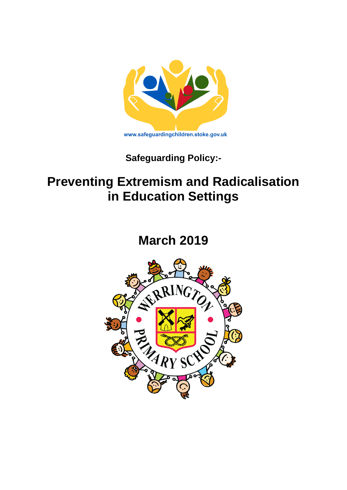

**Safeguarding Policy:-**

# **Preventing Extremism and Radicalisation in Education Settings**

**March 2019**

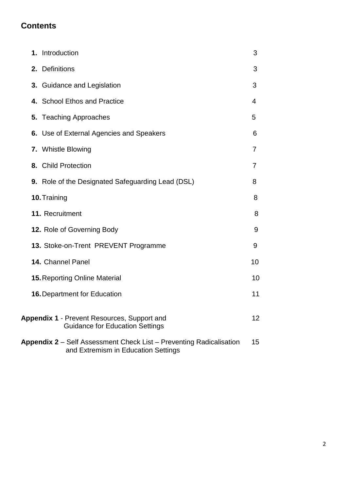## **Contents**

| 1. Introduction                                                                                                   | 3  |
|-------------------------------------------------------------------------------------------------------------------|----|
| 2. Definitions                                                                                                    | 3  |
| 3. Guidance and Legislation                                                                                       | 3  |
| 4. School Ethos and Practice                                                                                      | 4  |
| 5. Teaching Approaches                                                                                            | 5  |
| 6. Use of External Agencies and Speakers                                                                          | 6  |
| 7. Whistle Blowing                                                                                                | 7  |
| 8. Child Protection                                                                                               | 7  |
| 9. Role of the Designated Safeguarding Lead (DSL)                                                                 | 8  |
| 10. Training                                                                                                      | 8  |
| 11. Recruitment                                                                                                   | 8  |
| 12. Role of Governing Body                                                                                        | 9  |
| 13. Stoke-on-Trent PREVENT Programme                                                                              | 9  |
| 14. Channel Panel                                                                                                 | 10 |
| <b>15. Reporting Online Material</b>                                                                              | 10 |
| <b>16. Department for Education</b>                                                                               | 11 |
| <b>Appendix 1 - Prevent Resources, Support and</b><br><b>Guidance for Education Settings</b>                      | 12 |
| <b>Appendix 2</b> – Self Assessment Check List – Preventing Radicalisation<br>and Extremism in Education Settings | 15 |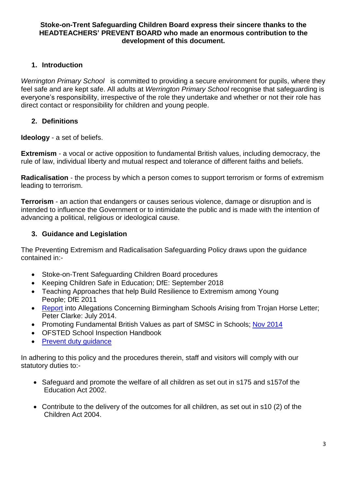#### **Stoke-on-Trent Safeguarding Children Board express their sincere thanks to the HEADTEACHERS' PREVENT BOARD who made an enormous contribution to the development of this document.**

#### **1. Introduction**

*Werrington Primary School* is committed to providing a secure environment for pupils, where they feel safe and are kept safe. All adults at *Werrington Primary School* recognise that safeguarding is everyone's responsibility, irrespective of the role they undertake and whether or not their role has direct contact or responsibility for children and young people.

## **2. Definitions**

**Ideology** - a set of beliefs.

**Extremism** - a vocal or active opposition to fundamental British values, including democracy, the rule of law, individual liberty and mutual respect and tolerance of different faiths and beliefs.

**Radicalisation** - the process by which a person comes to support terrorism or forms of extremism leading to terrorism.

**Terrorism** - an action that endangers or causes serious violence, damage or disruption and is intended to influence the Government or to intimidate the public and is made with the intention of advancing a political, religious or ideological cause.

## **3. Guidance and Legislation**

The Preventing Extremism and Radicalisation Safeguarding Policy draws upon the guidance contained in:-

- Stoke-on-Trent Safeguarding Children Board procedures
- Keeping Children Safe in Education; DfE: September 2018
- Teaching Approaches that help Build Resilience to Extremism among Young People; DfE 2011
- [Report](https://www.gov.uk/government/uploads/system/uploads/attachment_data/file/340526/HC_576_accessible_-.pdf) into Allegations Concerning Birmingham Schools Arising from Trojan Horse Letter; Peter Clarke: July 2014.
- Promoting Fundamental British Values as part of SMSC in Schools; Nov [2014](https://www.gov.uk/government/uploads/system/uploads/attachment_data/file/380595/SMSC_Guidance_Maintained_Schools.pdf)
- OFSTED School Inspection Handbook
- Prevent duty quidance

In adhering to this policy and the procedures therein, staff and visitors will comply with our statutory duties to:-

- Safeguard and promote the welfare of all children as set out in s175 and s157of the Education Act 2002.
- Contribute to the delivery of the outcomes for all children, as set out in s10 (2) of the Children Act 2004.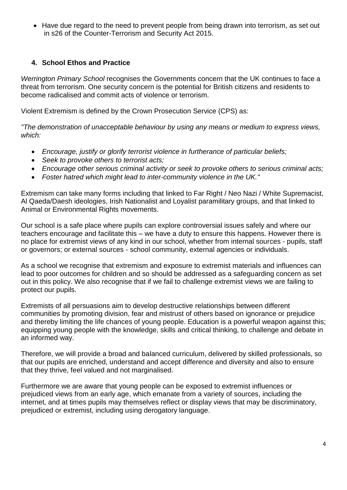• Have due regard to the need to prevent people from being drawn into terrorism, as set out in s26 of the Counter-Terrorism and Security Act 2015.

## **4. School Ethos and Practice**

*Werrington Primary School* recognises the Governments concern that the UK continues to face a threat from terrorism. One security concern is the potential for British citizens and residents to become radicalised and commit acts of violence or terrorism.

Violent Extremism is defined by the Crown Prosecution Service (CPS) as:

*"The demonstration of unacceptable behaviour by using any means or medium to express views, which:* 

- *Encourage, justify or glorify terrorist violence in furtherance of particular beliefs;*
- *Seek to provoke others to terrorist acts;*
- *Encourage other serious criminal activity or seek to provoke others to serious criminal acts;*
- *Foster hatred which might lead to inter-community violence in the UK."*

Extremism can take many forms including that linked to Far Right / Neo Nazi / White Supremacist, Al Qaeda/Daesh ideologies, Irish Nationalist and Loyalist paramilitary groups, and that linked to Animal or Environmental Rights movements.

Our school is a safe place where pupils can explore controversial issues safely and where our teachers encourage and facilitate this – we have a duty to ensure this happens. However there is no place for extremist views of any kind in our school, whether from internal sources - pupils, staff or governors; or external sources - school community, external agencies or individuals.

As a school we recognise that extremism and exposure to extremist materials and influences can lead to poor outcomes for children and so should be addressed as a safeguarding concern as set out in this policy. We also recognise that if we fail to challenge extremist views we are failing to protect our pupils.

Extremists of all persuasions aim to develop destructive relationships between different communities by promoting division, fear and mistrust of others based on ignorance or prejudice and thereby limiting the life chances of young people. Education is a powerful weapon against this; equipping young people with the knowledge, skills and critical thinking, to challenge and debate in an informed way.

Therefore, we will provide a broad and balanced curriculum, delivered by skilled professionals, so that our pupils are enriched, understand and accept difference and diversity and also to ensure that they thrive, feel valued and not marginalised.

Furthermore we are aware that young people can be exposed to extremist influences or prejudiced views from an early age, which emanate from a variety of sources, including the internet, and at times pupils may themselves reflect or display views that may be discriminatory, prejudiced or extremist, including using derogatory language.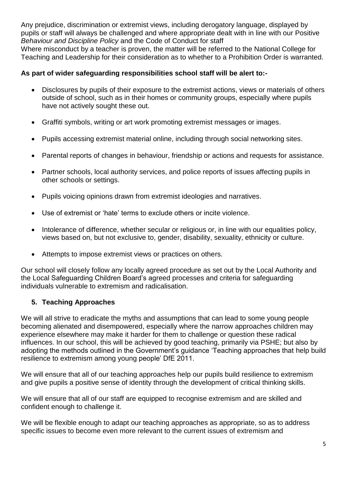Any prejudice, discrimination or extremist views, including derogatory language, displayed by pupils or staff will always be challenged and where appropriate dealt with in line with our Positive *Behaviour and Discipline Policy* and the Code of Conduct for staff

Where misconduct by a teacher is proven, the matter will be referred to the National College for Teaching and Leadership for their consideration as to whether to a Prohibition Order is warranted.

### **As part of wider safeguarding responsibilities school staff will be alert to:-**

- Disclosures by pupils of their exposure to the extremist actions, views or materials of others outside of school, such as in their homes or community groups, especially where pupils have not actively sought these out.
- Graffiti symbols, writing or art work promoting extremist messages or images.
- Pupils accessing extremist material online, including through social networking sites.
- Parental reports of changes in behaviour, friendship or actions and requests for assistance.
- Partner schools, local authority services, and police reports of issues affecting pupils in other schools or settings.
- Pupils voicing opinions drawn from extremist ideologies and narratives.
- Use of extremist or 'hate' terms to exclude others or incite violence.
- Intolerance of difference, whether secular or religious or, in line with our equalities policy, views based on, but not exclusive to, gender, disability, sexuality, ethnicity or culture.
- Attempts to impose extremist views or practices on others.

Our school will closely follow any locally agreed procedure as set out by the Local Authority and the Local Safeguarding Children Board's agreed processes and criteria for safeguarding individuals vulnerable to extremism and radicalisation.

## **5. Teaching Approaches**

We will all strive to eradicate the myths and assumptions that can lead to some young people becoming alienated and disempowered, especially where the narrow approaches children may experience elsewhere may make it harder for them to challenge or question these radical influences. In our school, this will be achieved by good teaching, primarily via PSHE; but also by adopting the methods outlined in the Government's guidance 'Teaching approaches that help build resilience to extremism among young people' DfE 2011.

We will ensure that all of our teaching approaches help our pupils build resilience to extremism and give pupils a positive sense of identity through the development of critical thinking skills.

We will ensure that all of our staff are equipped to recognise extremism and are skilled and confident enough to challenge it.

We will be flexible enough to adapt our teaching approaches as appropriate, so as to address specific issues to become even more relevant to the current issues of extremism and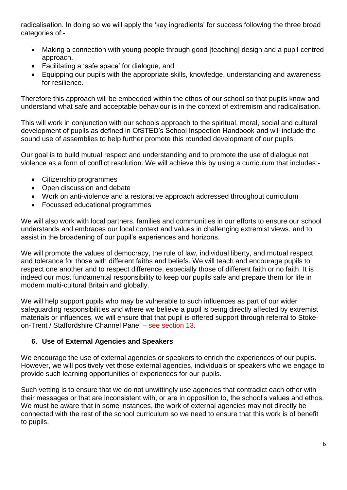radicalisation. In doing so we will apply the 'key ingredients' for success following the three broad categories of:-

- Making a connection with young people through good [teaching] design and a pupil centred approach.
- Facilitating a 'safe space' for dialogue, and
- Equipping our pupils with the appropriate skills, knowledge, understanding and awareness for resilience.

Therefore this approach will be embedded within the ethos of our school so that pupils know and understand what safe and acceptable behaviour is in the context of extremism and radicalisation.

This will work in conjunction with our schools approach to the spiritual, moral, social and cultural development of pupils as defined in OfSTED's School Inspection Handbook and will include the sound use of assemblies to help further promote this rounded development of our pupils.

Our goal is to build mutual respect and understanding and to promote the use of dialogue not violence as a form of conflict resolution. We will achieve this by using a curriculum that includes:-

- Citizenship programmes
- Open discussion and debate
- Work on anti-violence and a restorative approach addressed throughout curriculum
- Focussed educational programmes

We will also work with local partners, families and communities in our efforts to ensure our school understands and embraces our local context and values in challenging extremist views, and to assist in the broadening of our pupil's experiences and horizons.

We will promote the values of democracy, the rule of law, individual liberty, and mutual respect and tolerance for those with different faiths and beliefs. We will teach and encourage pupils to respect one another and to respect difference, especially those of different faith or no faith. It is indeed our most fundamental responsibility to keep our pupils safe and prepare them for life in modern multi-cultural Britain and globally.

We will help support pupils who may be vulnerable to such influences as part of our wider safeguarding responsibilities and where we believe a pupil is being directly affected by extremist materials or influences, we will ensure that that pupil is offered support through referral to Stokeon-Trent / Staffordshire Channel Panel – see section 13.

## **6. Use of External Agencies and Speakers**

We encourage the use of external agencies or speakers to enrich the experiences of our pupils. However, we will positively vet those external agencies, individuals or speakers who we engage to provide such learning opportunities or experiences for our pupils.

Such vetting is to ensure that we do not unwittingly use agencies that contradict each other with their messages or that are inconsistent with, or are in opposition to, the school's values and ethos. We must be aware that in some instances, the work of external agencies may not directly be connected with the rest of the school curriculum so we need to ensure that this work is of benefit to pupils.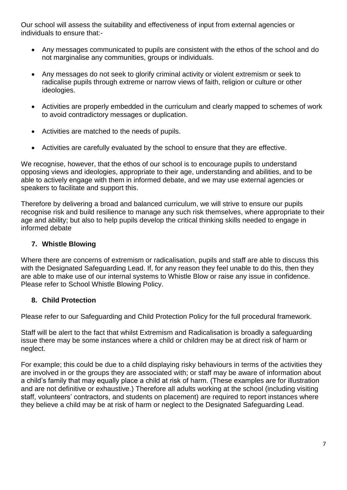Our school will assess the suitability and effectiveness of input from external agencies or individuals to ensure that:-

- Any messages communicated to pupils are consistent with the ethos of the school and do not marginalise any communities, groups or individuals.
- Any messages do not seek to glorify criminal activity or violent extremism or seek to radicalise pupils through extreme or narrow views of faith, religion or culture or other ideologies.
- Activities are properly embedded in the curriculum and clearly mapped to schemes of work to avoid contradictory messages or duplication.
- Activities are matched to the needs of pupils.
- Activities are carefully evaluated by the school to ensure that they are effective.

We recognise, however, that the ethos of our school is to encourage pupils to understand opposing views and ideologies, appropriate to their age, understanding and abilities, and to be able to actively engage with them in informed debate, and we may use external agencies or speakers to facilitate and support this.

Therefore by delivering a broad and balanced curriculum, we will strive to ensure our pupils recognise risk and build resilience to manage any such risk themselves, where appropriate to their age and ability; but also to help pupils develop the critical thinking skills needed to engage in informed debate

## **7. Whistle Blowing**

Where there are concerns of extremism or radicalisation, pupils and staff are able to discuss this with the Designated Safeguarding Lead. If, for any reason they feel unable to do this, then they are able to make use of our internal systems to Whistle Blow or raise any issue in confidence. Please refer to School Whistle Blowing Policy.

## **8. Child Protection**

Please refer to our Safeguarding and Child Protection Policy for the full procedural framework.

Staff will be alert to the fact that whilst Extremism and Radicalisation is broadly a safeguarding issue there may be some instances where a child or children may be at direct risk of harm or neglect.

For example; this could be due to a child displaying risky behaviours in terms of the activities they are involved in or the groups they are associated with; or staff may be aware of information about a child's family that may equally place a child at risk of harm. (These examples are for illustration and are not definitive or exhaustive.) Therefore all adults working at the school (including visiting staff, volunteers' contractors, and students on placement) are required to report instances where they believe a child may be at risk of harm or neglect to the Designated Safeguarding Lead.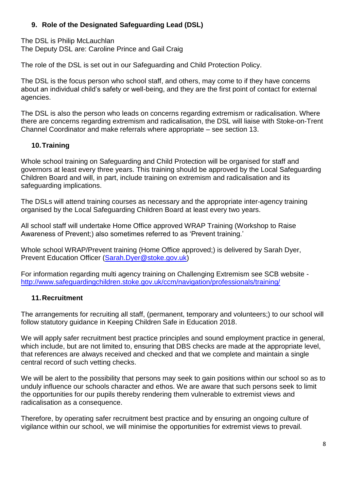## **9. Role of the Designated Safeguarding Lead (DSL)**

The DSL is Philip McLauchlan The Deputy DSL are: Caroline Prince and Gail Craig

The role of the DSL is set out in our Safeguarding and Child Protection Policy.

The DSL is the focus person who school staff, and others, may come to if they have concerns about an individual child's safety or well-being, and they are the first point of contact for external agencies.

The DSL is also the person who leads on concerns regarding extremism or radicalisation. Where there are concerns regarding extremism and radicalisation, the DSL will liaise with Stoke-on-Trent Channel Coordinator and make referrals where appropriate – see section 13.

## **10.Training**

Whole school training on Safeguarding and Child Protection will be organised for staff and governors at least every three years. This training should be approved by the Local Safeguarding Children Board and will, in part, include training on extremism and radicalisation and its safeguarding implications.

The DSLs will attend training courses as necessary and the appropriate inter-agency training organised by the Local Safeguarding Children Board at least every two years.

All school staff will undertake Home Office approved WRAP Training (Workshop to Raise Awareness of Prevent;) also sometimes referred to as 'Prevent training.'

Whole school WRAP/Prevent training (Home Office approved;) is delivered by Sarah Dyer, Prevent Education Officer [\(Sarah.Dyer@stoke.gov.uk\)](mailto:Sarah.Dyer@stoke.gov.uk)

For information regarding multi agency training on Challenging Extremism see SCB website <http://www.safeguardingchildren.stoke.gov.uk/ccm/navigation/professionals/training/>

## **11.Recruitment**

The arrangements for recruiting all staff, (permanent, temporary and volunteers;) to our school will follow statutory guidance in Keeping Children Safe in Education 2018.

We will apply safer recruitment best practice principles and sound employment practice in general, which include, but are not limited to, ensuring that DBS checks are made at the appropriate level, that references are always received and checked and that we complete and maintain a single central record of such vetting checks.

We will be alert to the possibility that persons may seek to gain positions within our school so as to unduly influence our schools character and ethos. We are aware that such persons seek to limit the opportunities for our pupils thereby rendering them vulnerable to extremist views and radicalisation as a consequence.

Therefore, by operating safer recruitment best practice and by ensuring an ongoing culture of vigilance within our school, we will minimise the opportunities for extremist views to prevail.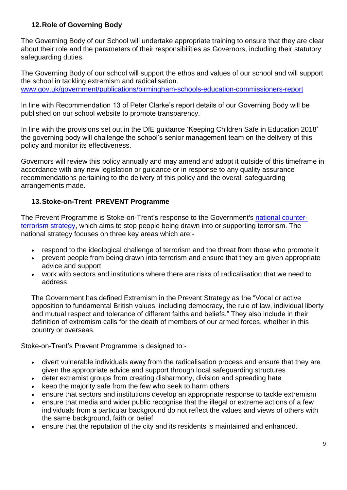### **12.Role of Governing Body**

The Governing Body of our School will undertake appropriate training to ensure that they are clear about their role and the parameters of their responsibilities as Governors, including their statutory safeguarding duties.

The Governing Body of our school will support the ethos and values of our school and will support the school in tackling extremism and radicalisation. [www.gov.uk/government/publications/birmingham-schools-education-commissioners-report](http://www.gov.uk/government/publications/birmingham-schools-education-commissioners-report)

In line with Recommendation 13 of Peter Clarke's report details of our Governing Body will be published on our school website to promote transparency.

In line with the provisions set out in the DfE guidance 'Keeping Children Safe in Education 2018' the governing body will challenge the school's senior management team on the delivery of this policy and monitor its effectiveness.

Governors will review this policy annually and may amend and adopt it outside of this timeframe in accordance with any new legislation or guidance or in response to any quality assurance recommendations pertaining to the delivery of this policy and the overall safeguarding arrangements made.

## **13.Stoke-on-Trent PREVENT Programme**

The Prevent Programme is Stoke-on-Trent's response to the Government's [national counter](https://www.gov.uk/government/publications/prevent-strategy-2011)[terrorism strategy,](https://www.gov.uk/government/publications/prevent-strategy-2011) which aims to stop people being drawn into or supporting terrorism. The national strategy focuses on three key areas which are:-

- respond to the ideological challenge of terrorism and the threat from those who promote it
- prevent people from being drawn into terrorism and ensure that they are given appropriate advice and support
- work with sectors and institutions where there are risks of radicalisation that we need to address

The Government has defined Extremism in the Prevent Strategy as the "Vocal or active opposition to fundamental British values, including democracy, the rule of law, individual liberty and mutual respect and tolerance of different faiths and beliefs." They also include in their definition of extremism calls for the death of members of our armed forces, whether in this country or overseas.

Stoke-on-Trent's Prevent Programme is designed to:-

- divert vulnerable individuals away from the radicalisation process and ensure that they are given the appropriate advice and support through local safeguarding structures
- deter extremist groups from creating disharmony, division and spreading hate
- keep the majority safe from the few who seek to harm others
- ensure that sectors and institutions develop an appropriate response to tackle extremism
- ensure that media and wider public recognise that the illegal or extreme actions of a few individuals from a particular background do not reflect the values and views of others with the same background, faith or belief
- ensure that the reputation of the city and its residents is maintained and enhanced.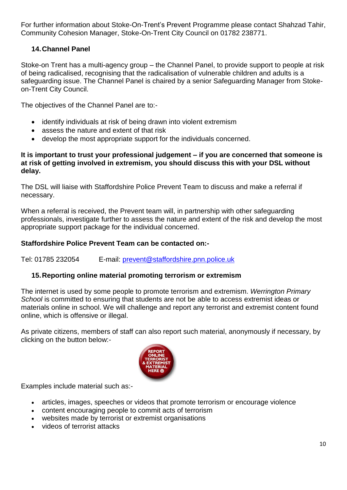For further information about Stoke-On-Trent's Prevent Programme please contact Shahzad Tahir, Community Cohesion Manager, Stoke-On-Trent City Council on 01782 238771.

## **14.Channel Panel**

Stoke-on Trent has a multi-agency group – the Channel Panel, to provide support to people at risk of being radicalised, recognising that the radicalisation of vulnerable children and adults is a safeguarding issue. The Channel Panel is chaired by a senior Safeguarding Manager from Stokeon-Trent City Council.

The objectives of the Channel Panel are to:-

- identify individuals at risk of being drawn into violent extremism
- assess the nature and extent of that risk
- develop the most appropriate support for the individuals concerned.

#### **It is important to trust your professional judgement – if you are concerned that someone is at risk of getting involved in extremism, you should discuss this with your DSL without delay.**

The DSL will liaise with Staffordshire Police Prevent Team to discuss and make a referral if necessary.

When a referral is received, the Prevent team will, in partnership with other safeguarding professionals, investigate further to assess the nature and extent of the risk and develop the most appropriate support package for the individual concerned.

#### **Staffordshire Police Prevent Team can be contacted on:-**

Tel: 01785 232054 E-mail: [prevent@staffordshire.pnn.police.uk](mailto:prevent@staffordshire.pnn.police.uk)

#### **15.Reporting online material promoting terrorism or extremism**

The internet is used by some people to promote terrorism and extremism. *Werrington Primary School* is committed to ensuring that students are not be able to access extremist ideas or materials online in school. We will challenge and report any terrorist and extremist content found online, which is offensive or illegal.

As private citizens, members of staff can also report such material, anonymously if necessary, by clicking on the button below:-



j Examples include material such as:-

- articles, images, speeches or videos that promote terrorism or encourage violence
- content encouraging people to commit acts of terrorism
- websites made by terrorist or extremist organisations
- videos of terrorist attacks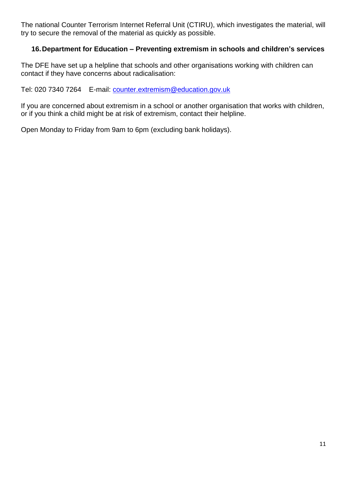The national Counter Terrorism Internet Referral Unit (CTIRU), which investigates the material, will try to secure the removal of the material as quickly as possible.

#### **16.Department for Education – Preventing extremism in schools and children's services**

The DFE have set up a helpline that schools and other organisations working with children can contact if they have concerns about radicalisation:

Tel: 020 7340 7264 E-mail: [counter.extremism@education.gov.uk](mailto:counter.extremism@education.gov.uk)

If you are concerned about extremism in a school or another organisation that works with children, or if you think a child might be at risk of extremism, contact their helpline.

Open Monday to Friday from 9am to 6pm (excluding bank holidays).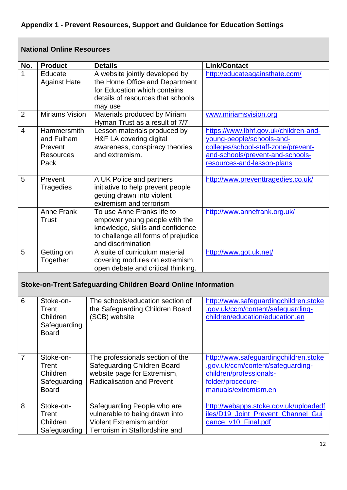# **Appendix 1 - Prevent Resources, Support and Guidance for Education Settings**

|                | <b>National Online Resources</b>                                        |                                                                                                                                                              |                                                                                                                                                                             |  |
|----------------|-------------------------------------------------------------------------|--------------------------------------------------------------------------------------------------------------------------------------------------------------|-----------------------------------------------------------------------------------------------------------------------------------------------------------------------------|--|
| No.            | <b>Product</b>                                                          | <b>Details</b>                                                                                                                                               | <b>Link/Contact</b>                                                                                                                                                         |  |
| 1              | Educate<br><b>Against Hate</b>                                          | A website jointly developed by<br>the Home Office and Department<br>for Education which contains<br>details of resources that schools<br>may use             | http://educateagainsthate.com/                                                                                                                                              |  |
| $\overline{2}$ | <b>Miriams Vision</b>                                                   | Materials produced by Miriam<br>Hyman Trust as a result of 7/7.                                                                                              | www.miriamsvision.org                                                                                                                                                       |  |
| $\overline{4}$ | <b>Hammersmith</b><br>and Fulham<br>Prevent<br><b>Resources</b><br>Pack | Lesson materials produced by<br>H&F LA covering digital<br>awareness, conspiracy theories<br>and extremism.                                                  | https://www.lbhf.gov.uk/children-and-<br>young-people/schools-and-<br>colleges/school-staff-zone/prevent-<br>and-schools/prevent-and-schools-<br>resources-and-lesson-plans |  |
| 5              | Prevent<br><b>Tragedies</b>                                             | A UK Police and partners<br>initiative to help prevent people<br>getting drawn into violent<br>extremism and terrorism                                       | http://www.preventtragedies.co.uk/                                                                                                                                          |  |
|                | Anne Frank<br><b>Trust</b>                                              | To use Anne Franks life to<br>empower young people with the<br>knowledge, skills and confidence<br>to challenge all forms of prejudice<br>and discrimination | http://www.annefrank.org.uk/                                                                                                                                                |  |
| 5              | Getting on<br>Together                                                  | A suite of curriculum material<br>covering modules on extremism,<br>open debate and critical thinking.                                                       | http://www.got.uk.net/                                                                                                                                                      |  |
|                |                                                                         | <b>Stoke-on-Trent Safeguarding Children Board Online Information</b>                                                                                         |                                                                                                                                                                             |  |
| 6              | Stoke-on-<br>Trent<br>Children<br>Safeguarding<br><b>Board</b>          | the Safeguarding Children Board<br>(SCB) website                                                                                                             | The schools/education section of http://www.safeguardingchildren.stoke<br>.gov.uk/ccm/content/safeguarding-<br>children/education/education.en                              |  |
| 7              | Stoke-on-<br>Trent<br>Children<br>Safeguarding<br><b>Board</b>          | The professionals section of the<br><b>Safeguarding Children Board</b><br>website page for Extremism,<br><b>Radicalisation and Prevent</b>                   | http://www.safeguardingchildren.stoke<br>.gov.uk/ccm/content/safeguarding-<br>children/professionals-<br>folder/procedure-<br>manuals/extremism.en                          |  |
| 8              | Stoke-on-<br>Trent<br>Children<br>Safeguarding                          | Safeguarding People who are<br>vulnerable to being drawn into<br>Violent Extremism and/or<br>Terrorism in Staffordshire and                                  | http://webapps.stoke.gov.uk/uploadedf<br>iles/D19_Joint_Prevent_Channel_Gui<br>dance_v10_Final.pdf                                                                          |  |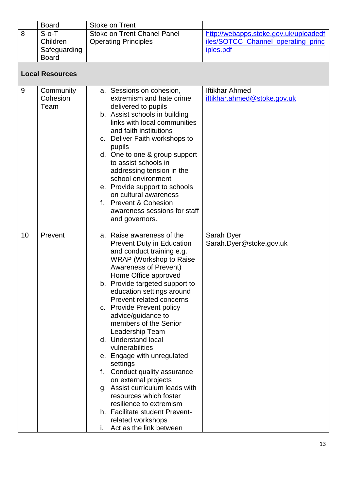| <b>Board</b> | Stoke on Trent              |                                       |
|--------------|-----------------------------|---------------------------------------|
| $S$ - $O$ -T | Stoke on Trent Chanel Panel | http://webapps.stoke.gov.uk/uploadedf |
| Children     | <b>Operating Principles</b> | iles/SOTCC_Channel_operating_princ    |
| Safeguarding |                             | iples.pdf                             |
| <b>Board</b> |                             |                                       |

**Local Resources**

| 9  | Community<br>Cohesion<br>Team |    | a. Sessions on cohesion,<br>extremism and hate crime<br>delivered to pupils<br>b. Assist schools in building<br>links with local communities<br>and faith institutions<br>c. Deliver Faith workshops to<br>pupils<br>d. One to one & group support<br>to assist schools in<br>addressing tension in the<br>school environment<br>e. Provide support to schools<br>on cultural awareness<br>f. Prevent & Cohesion<br>awareness sessions for staff<br>and governors.                                                                                                                                                                                                                                 | <b>Iftikhar Ahmed</b><br>iftikhar.ahmed@stoke.gov.uk |
|----|-------------------------------|----|----------------------------------------------------------------------------------------------------------------------------------------------------------------------------------------------------------------------------------------------------------------------------------------------------------------------------------------------------------------------------------------------------------------------------------------------------------------------------------------------------------------------------------------------------------------------------------------------------------------------------------------------------------------------------------------------------|------------------------------------------------------|
| 10 | Prevent                       | f. | a. Raise awareness of the<br><b>Prevent Duty in Education</b><br>and conduct training e.g.<br><b>WRAP</b> (Workshop to Raise)<br><b>Awareness of Prevent)</b><br>Home Office approved<br>b. Provide targeted support to<br>education settings around<br>Prevent related concerns<br>c. Provide Prevent policy<br>advice/guidance to<br>members of the Senior<br>Leadership Team<br>d. Understand local<br>vulnerabilities<br>e. Engage with unregulated<br>settings<br>Conduct quality assurance<br>on external projects<br>g. Assist curriculum leads with<br>resources which foster<br>resilience to extremism<br>h. Facilitate student Prevent-<br>related workshops<br>Act as the link between | Sarah Dyer<br>Sarah.Dyer@stoke.gov.uk                |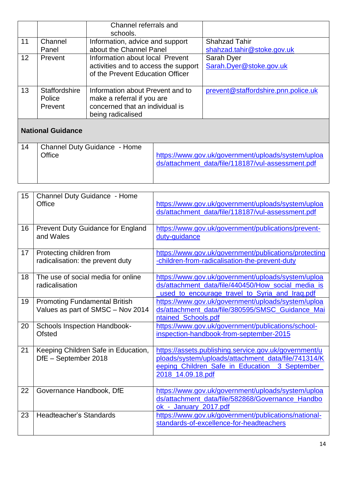|    |                         | Channel referrals and<br>schools.                              |                                     |
|----|-------------------------|----------------------------------------------------------------|-------------------------------------|
| 11 | Channel                 | Information, advice and support                                | <b>Shahzad Tahir</b>                |
|    | Panel                   | about the Channel Panel                                        | shahzad.tahir@stoke.gov.uk          |
| 12 | Prevent                 | Information about local Prevent                                | Sarah Dyer                          |
|    |                         | activities and to access the support                           | Sarah.Dyer@stoke.gov.uk             |
|    |                         | of the Prevent Education Officer                               |                                     |
|    |                         |                                                                |                                     |
| 13 | Staffordshire<br>Police | Information about Prevent and to<br>make a referral if you are | prevent@staffordshire.pnn.police.uk |
|    | Prevent                 | concerned that an individual is                                |                                     |
|    |                         | being radicalised                                              |                                     |
|    |                         |                                                                |                                     |

## **National Guidance**

| <b>Channel Duty Guidance - Home</b><br>14<br>Office | https://www.gov.uk/government/uploads/system/uploa<br>ds/attachment_data/file/118187/vul-assessment.pdf |
|-----------------------------------------------------|---------------------------------------------------------------------------------------------------------|
|-----------------------------------------------------|---------------------------------------------------------------------------------------------------------|

| 15 | Channel Duty Guidance - Home<br>Office                                    | https://www.gov.uk/government/uploads/system/uploa<br>ds/attachment_data/file/118187/vul-assessment.pdf                                                                             |
|----|---------------------------------------------------------------------------|-------------------------------------------------------------------------------------------------------------------------------------------------------------------------------------|
| 16 | Prevent Duty Guidance for England<br>and Wales                            | https://www.gov.uk/government/publications/prevent-<br>duty-guidance                                                                                                                |
| 17 | Protecting children from<br>radicalisation: the prevent duty              | https://www.gov.uk/government/publications/protecting<br>-children-from-radicalisation-the-prevent-duty                                                                             |
| 18 | The use of social media for online<br>radicalisation                      | https://www.gov.uk/government/uploads/system/uploa<br>ds/attachment_data/file/440450/How_social_media_is<br>used to encourage travel to Syria and Iraq.pdf                          |
| 19 | <b>Promoting Fundamental British</b><br>Values as part of SMSC - Nov 2014 | https://www.gov.uk/government/uploads/system/uploa<br>ds/attachment_data/file/380595/SMSC_Guidance_Mai<br>ntained_Schools.pdf                                                       |
| 20 | <b>Schools Inspection Handbook-</b><br><b>Ofsted</b>                      | https://www.gov.uk/government/publications/school-<br>inspection-handbook-from-september-2015                                                                                       |
| 21 | Keeping Children Safe in Education,<br>DfE - September 2018               | https://assets.publishing.service.gov.uk/government/u<br>ploads/system/uploads/attachment_data/file/741314/K<br>eeping_Children_Safe_in_Education_3_September_<br>2018_14.09.18.pdf |
| 22 | Governance Handbook, DfE                                                  | https://www.gov.uk/government/uploads/system/uploa<br>ds/attachment_data/file/582868/Governance_Handbo<br>ok_-_January_2017.pdf                                                     |
| 23 | <b>Headteacher's Standards</b>                                            | https://www.gov.uk/government/publications/national-<br>standards-of-excellence-for-headteachers                                                                                    |